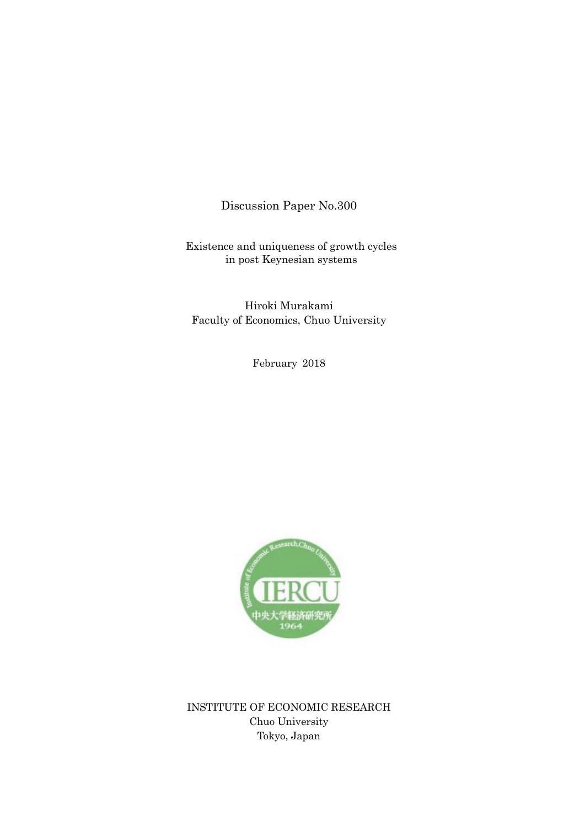Discussion Paper No.300

Existence and uniqueness of growth cycles in post Keynesian systems

Hiroki Murakami Faculty of Economics, Chuo University

February 2018



INSTITUTE OF ECONOMIC RESEARCH Chuo University Tokyo, Japan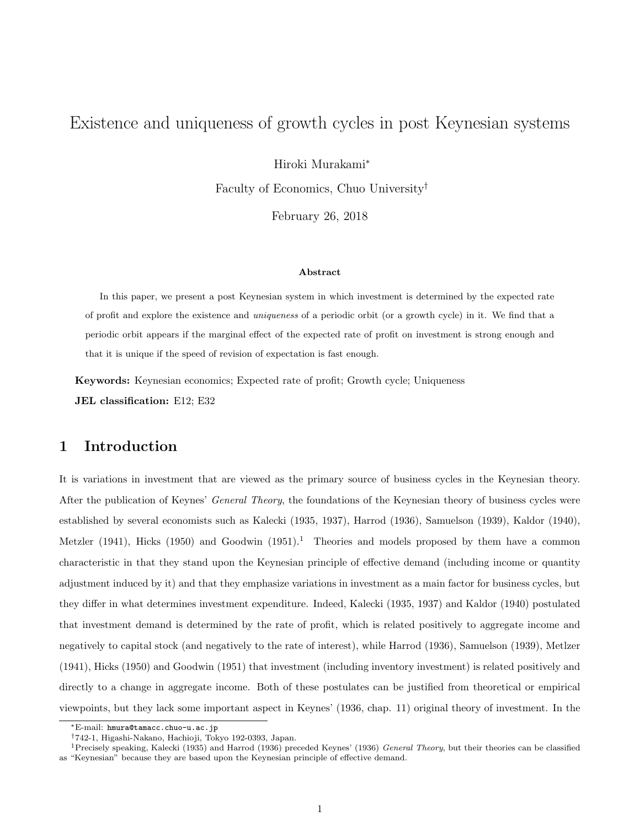# Existence and uniqueness of growth cycles in post Keynesian systems

Hiroki Murakami<sup>∗</sup>

Faculty of Economics, Chuo University†

February 26, 2018

#### Abstract

In this paper, we present a post Keynesian system in which investment is determined by the expected rate of profit and explore the existence and uniqueness of a periodic orbit (or a growth cycle) in it. We find that a periodic orbit appears if the marginal effect of the expected rate of profit on investment is strong enough and that it is unique if the speed of revision of expectation is fast enough.

Keywords: Keynesian economics; Expected rate of profit; Growth cycle; Uniqueness

JEL classification: E12; E32

### 1 Introduction

It is variations in investment that are viewed as the primary source of business cycles in the Keynesian theory. After the publication of Keynes' *General Theory*, the foundations of the Keynesian theory of business cycles were established by several economists such as Kalecki (1935, 1937), Harrod (1936), Samuelson (1939), Kaldor (1940), Metzler (1941), Hicks (1950) and Goodwin  $(1951).<sup>1</sup>$  Theories and models proposed by them have a common characteristic in that they stand upon the Keynesian principle of effective demand (including income or quantity adjustment induced by it) and that they emphasize variations in investment as a main factor for business cycles, but they differ in what determines investment expenditure. Indeed, Kalecki (1935, 1937) and Kaldor (1940) postulated that investment demand is determined by the rate of profit, which is related positively to aggregate income and negatively to capital stock (and negatively to the rate of interest), while Harrod (1936), Samuelson (1939), Metlzer (1941), Hicks (1950) and Goodwin (1951) that investment (including inventory investment) is related positively and directly to a change in aggregate income. Both of these postulates can be justified from theoretical or empirical viewpoints, but they lack some important aspect in Keynes' (1936, chap. 11) original theory of investment. In the

<sup>∗</sup>E-mail: hmura@tamacc.chuo-u.ac.jp

<sup>†</sup>742-1, Higashi-Nakano, Hachioji, Tokyo 192-0393, Japan.

<sup>&</sup>lt;sup>1</sup> Precisely speaking, Kalecki (1935) and Harrod (1936) preceded Keynes' (1936) General Theory, but their theories can be classified as "Keynesian" because they are based upon the Keynesian principle of effective demand.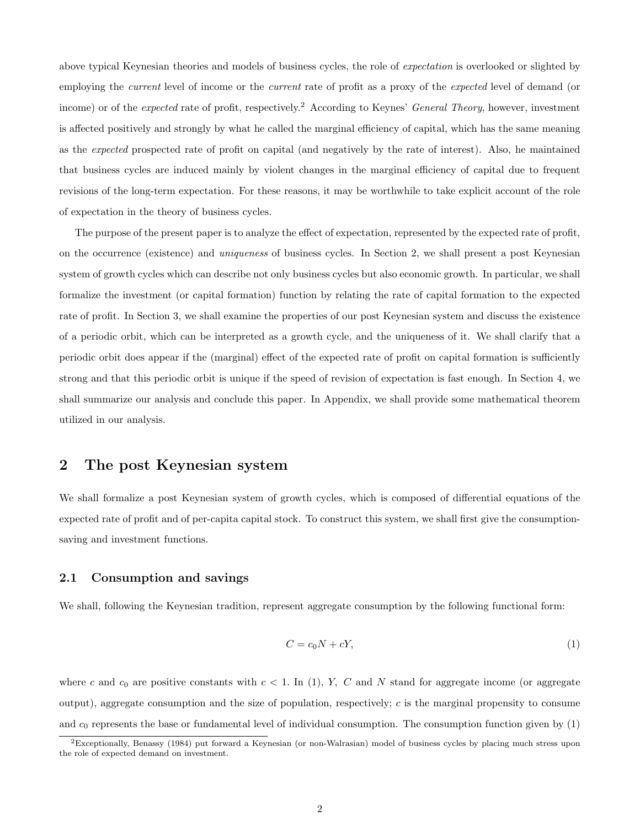above typical Keynesian theories and models of business cycles, the role of expectation is overlooked or slighted by employing the *current* level of income or the *current* rate of profit as a proxy of the *expected* level of demand (or income) or of the *expected* rate of profit, respectively.<sup>2</sup> According to Keynes' *General Theory*, however, investment is affected positively and strongly by what he called the marginal efficiency of capital, which has the same meaning as the expected prospected rate of profit on capital (and negatively by the rate of interest). Also, he maintained that business cycles are induced mainly by violent changes in the marginal efficiency of capital due to frequent revisions of the long-term expectation. For these reasons, it may be worthwhile to take explicit account of the role of expectation in the theory of business cycles.

The purpose of the present paper is to analyze the effect of expectation, represented by the expected rate of profit, on the occurrence (existence) and uniqueness of business cycles. In Section 2, we shall present a post Keynesian system of growth cycles which can describe not only business cycles but also economic growth. In particular, we shall formalize the investment (or capital formation) function by relating the rate of capital formation to the expected rate of profit. In Section 3, we shall examine the properties of our post Keynesian system and discuss the existence of a periodic orbit, which can be interpreted as a growth cycle, and the uniqueness of it. We shall clarify that a periodic orbit does appear if the (marginal) effect of the expected rate of profit on capital formation is sufficiently strong and that this periodic orbit is unique if the speed of revision of expectation is fast enough. In Section 4, we shall summarize our analysis and conclude this paper. In Appendix, we shall provide some mathematical theorem utilized in our analysis.

### 2 The post Keynesian system

We shall formalize a post Keynesian system of growth cycles, which is composed of differential equations of the expected rate of profit and of per-capita capital stock. To construct this system, we shall first give the consumptionsaving and investment functions.

#### 2.1 Consumption and savings

We shall, following the Keynesian tradition, represent aggregate consumption by the following functional form:

$$
C = c_0 N + cY,\tag{1}
$$

where c and  $c_0$  are positive constants with  $c < 1$ . In (1), Y, C and N stand for aggregate income (or aggregate output), aggregate consumption and the size of population, respectively;  $c$  is the marginal propensity to consume and  $c_0$  represents the base or fundamental level of individual consumption. The consumption function given by  $(1)$ 

<sup>2</sup>Exceptionally, Benassy (1984) put forward a Keynesian (or non-Walrasian) model of business cycles by placing much stress upon the role of expected demand on investment.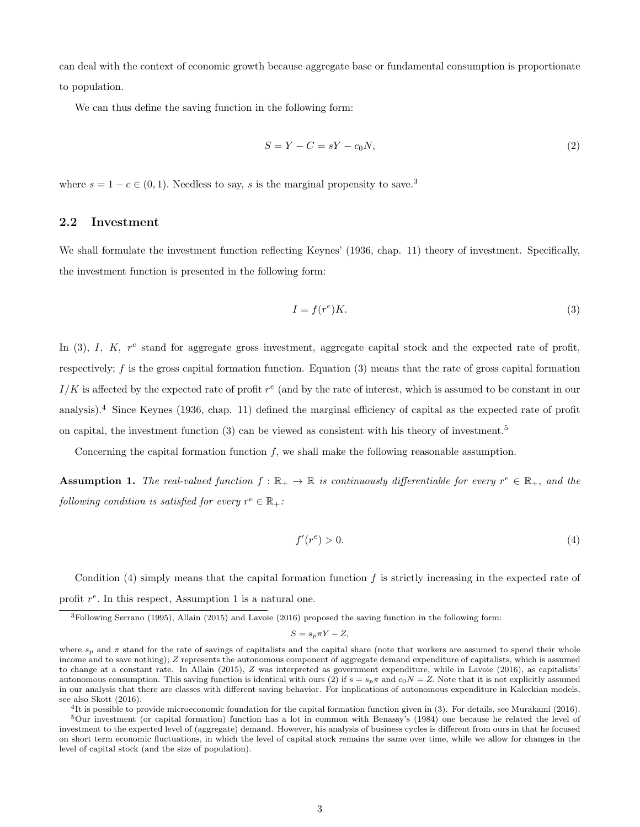can deal with the context of economic growth because aggregate base or fundamental consumption is proportionate to population.

We can thus define the saving function in the following form:

$$
S = Y - C = sY - c_0N,\t\t(2)
$$

where  $s = 1 - c \in (0, 1)$ . Needless to say, s is the marginal propensity to save.<sup>3</sup>

#### 2.2 Investment

We shall formulate the investment function reflecting Keynes' (1936, chap. 11) theory of investment. Specifically, the investment function is presented in the following form:

$$
I = f(r^e)K.\t\t(3)
$$

In  $(3)$ , I, K,  $r^e$  stand for aggregate gross investment, aggregate capital stock and the expected rate of profit, respectively; f is the gross capital formation function. Equation (3) means that the rate of gross capital formation  $I/K$  is affected by the expected rate of profit  $r^e$  (and by the rate of interest, which is assumed to be constant in our analysis).<sup>4</sup> Since Keynes (1936, chap. 11) defined the marginal efficiency of capital as the expected rate of profit on capital, the investment function  $(3)$  can be viewed as consistent with his theory of investment.<sup>5</sup>

Concerning the capital formation function  $f$ , we shall make the following reasonable assumption.

**Assumption 1.** The real-valued function  $f : \mathbb{R}_+ \to \mathbb{R}$  is continuously differentiable for every  $r^e \in \mathbb{R}_+$ , and the following condition is satisfied for every  $r^e \in \mathbb{R}_+$ :

$$
f'(r^e) > 0.\t\t(4)
$$

Condition  $(4)$  simply means that the capital formation function f is strictly increasing in the expected rate of profit  $r^e$ . In this respect, Assumption 1 is a natural one.

 $S = s_p \pi Y - Z$ 

4 It is possible to provide microeconomic foundation for the capital formation function given in (3). For details, see Murakami (2016).

<sup>3</sup>Following Serrano (1995), Allain (2015) and Lavoie (2016) proposed the saving function in the following form:

where  $s_p$  and  $\pi$  stand for the rate of savings of capitalists and the capital share (note that workers are assumed to spend their whole income and to save nothing); Z represents the autonomous component of aggregate demand expenditure of capitalists, which is assumed to change at a constant rate. In Allain (2015), Z was interpreted as government expenditure, while in Lavoie (2016), as capitalists' autonomous consumption. This saving function is identical with ours (2) if  $s = s_p \pi$  and  $c_0 N = Z$ . Note that it is not explicitly assumed in our analysis that there are classes with different saving behavior. For implications of autonomous expenditure in Kaleckian models, see also Skott (2016).

<sup>5</sup>Our investment (or capital formation) function has a lot in common with Benassy's (1984) one because he related the level of investment to the expected level of (aggregate) demand. However, his analysis of business cycles is different from ours in that he focused on short term economic fluctuations, in which the level of capital stock remains the same over time, while we allow for changes in the level of capital stock (and the size of population).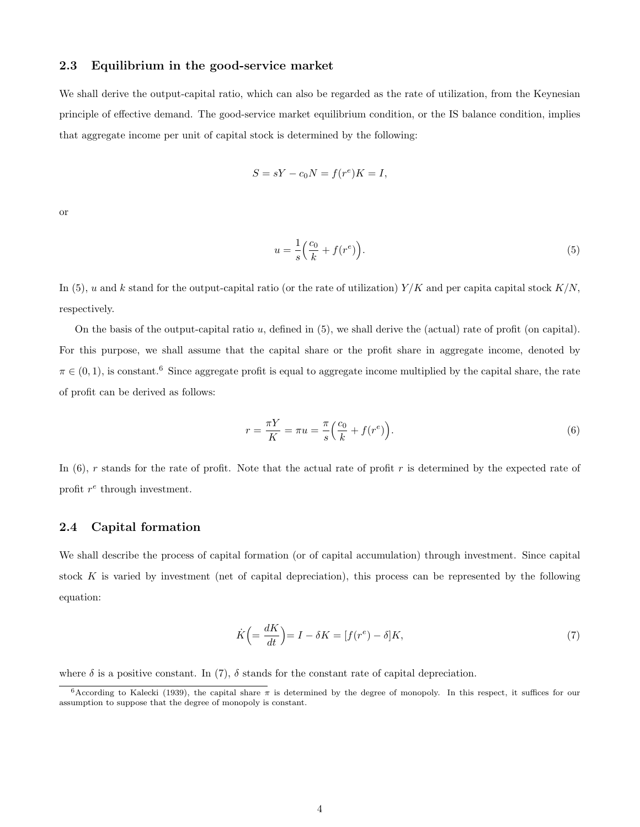### 2.3 Equilibrium in the good-service market

We shall derive the output-capital ratio, which can also be regarded as the rate of utilization, from the Keynesian principle of effective demand. The good-service market equilibrium condition, or the IS balance condition, implies that aggregate income per unit of capital stock is determined by the following:

$$
S = sY - c_0 N = f(r^e)K = I,
$$

or

$$
u = \frac{1}{s} \left( \frac{c_0}{k} + f(r^e) \right). \tag{5}
$$

In (5), u and k stand for the output-capital ratio (or the rate of utilization)  $Y/K$  and per capital stock  $K/N$ , respectively.

On the basis of the output-capital ratio  $u$ , defined in  $(5)$ , we shall derive the (actual) rate of profit (on capital). For this purpose, we shall assume that the capital share or the profit share in aggregate income, denoted by  $\pi \in (0,1)$ , is constant.<sup>6</sup> Since aggregate profit is equal to aggregate income multiplied by the capital share, the rate of profit can be derived as follows:

$$
r = \frac{\pi Y}{K} = \pi u = \frac{\pi}{s} \left( \frac{c_0}{k} + f(r^e) \right). \tag{6}
$$

In  $(6)$ , r stands for the rate of profit. Note that the actual rate of profit r is determined by the expected rate of profit  $r^e$  through investment.

### 2.4 Capital formation

We shall describe the process of capital formation (or of capital accumulation) through investment. Since capital stock K is varied by investment (net of capital depreciation), this process can be represented by the following equation:

$$
\dot{K} \left( = \frac{dK}{dt} \right) = I - \delta K = [f(r^e) - \delta]K,\tag{7}
$$

where  $\delta$  is a positive constant. In (7),  $\delta$  stands for the constant rate of capital depreciation.

<sup>&</sup>lt;sup>6</sup>According to Kalecki (1939), the capital share  $\pi$  is determined by the degree of monopoly. In this respect, it suffices for our assumption to suppose that the degree of monopoly is constant.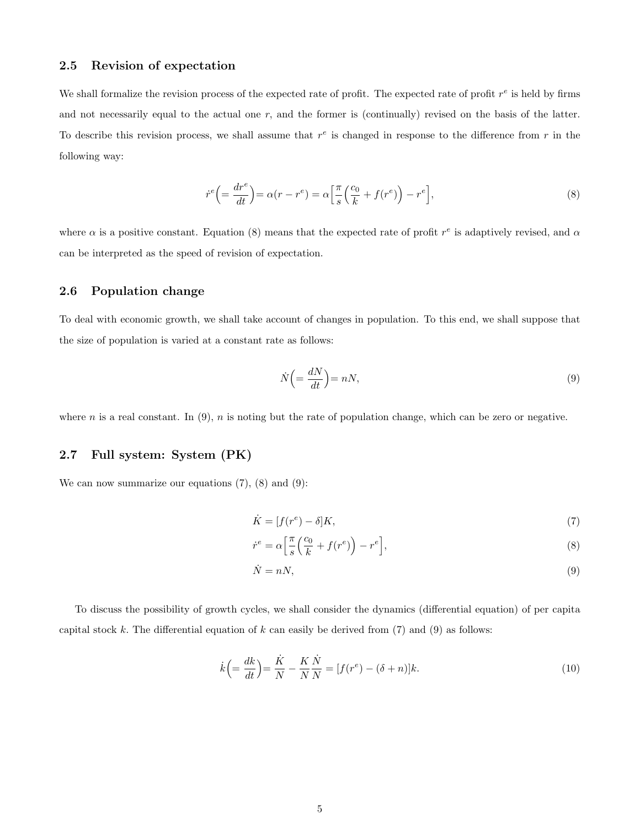#### 2.5 Revision of expectation

We shall formalize the revision process of the expected rate of profit. The expected rate of profit  $r^e$  is held by firms and not necessarily equal to the actual one  $r$ , and the former is (continually) revised on the basis of the latter. To describe this revision process, we shall assume that  $r^e$  is changed in response to the difference from  $r$  in the following way:

$$
\dot{r}^e \left( = \frac{dr^e}{dt} \right) = \alpha (r - r^e) = \alpha \left[ \frac{\pi}{s} \left( \frac{c_0}{k} + f(r^e) \right) - r^e \right],\tag{8}
$$

where  $\alpha$  is a positive constant. Equation (8) means that the expected rate of profit  $r^e$  is adaptively revised, and  $\alpha$ can be interpreted as the speed of revision of expectation.

### 2.6 Population change

To deal with economic growth, we shall take account of changes in population. To this end, we shall suppose that the size of population is varied at a constant rate as follows:

$$
\dot{N}\left(=\frac{dN}{dt}\right) = nN,\tag{9}
$$

where n is a real constant. In  $(9)$ , n is noting but the rate of population change, which can be zero or negative.

### 2.7 Full system: System (PK)

We can now summarize our equations  $(7)$ ,  $(8)$  and  $(9)$ :

$$
\dot{K} = [f(r^e) - \delta]K,\tag{7}
$$

$$
\dot{r}^e = \alpha \left[ \frac{\pi}{s} \left( \frac{c_0}{k} + f(r^e) \right) - r^e \right],\tag{8}
$$

$$
\dot{N} = nN,\tag{9}
$$

To discuss the possibility of growth cycles, we shall consider the dynamics (differential equation) of per capita capital stock  $k$ . The differential equation of  $k$  can easily be derived from (7) and (9) as follows:

$$
\dot{k} \left( = \frac{dk}{dt} \right) = \frac{\dot{K}}{N} - \frac{K}{N} \frac{\dot{N}}{N} = [f(r^e) - (\delta + n)]k.
$$
\n(10)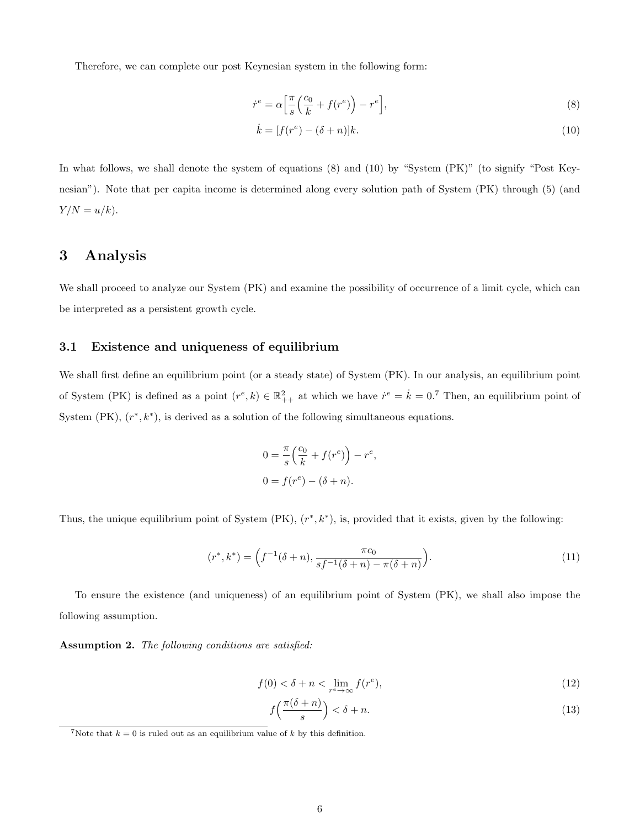Therefore, we can complete our post Keynesian system in the following form:

$$
\dot{r}^e = \alpha \left[ \frac{\pi}{s} \left( \frac{c_0}{k} + f(r^e) \right) - r^e \right],\tag{8}
$$

$$
\dot{k} = [f(r^e) - (\delta + n)]k.
$$
 (10)

In what follows, we shall denote the system of equations (8) and (10) by "System (PK)" (to signify "Post Keynesian"). Note that per capita income is determined along every solution path of System (PK) through (5) (and  $Y/N = u/k$ .

## 3 Analysis

We shall proceed to analyze our System (PK) and examine the possibility of occurrence of a limit cycle, which can be interpreted as a persistent growth cycle.

### 3.1 Existence and uniqueness of equilibrium

We shall first define an equilibrium point (or a steady state) of System (PK). In our analysis, an equilibrium point of System (PK) is defined as a point  $(r^e, k) \in \mathbb{R}^2_{++}$  at which we have  $\dot{r}^e = \dot{k} = 0$ .<sup>7</sup> Then, an equilibrium point of System (PK),  $(r^*, k^*)$ , is derived as a solution of the following simultaneous equations.

$$
0 = \frac{\pi}{s} \left( \frac{c_0}{k} + f(r^e) \right) - r^e,
$$
  

$$
0 = f(r^e) - (\delta + n).
$$

Thus, the unique equilibrium point of System  $(PK)$ ,  $(r^*, k^*)$ , is, provided that it exists, given by the following:

$$
(r^*, k^*) = \left(f^{-1}(\delta + n), \frac{\pi c_0}{s f^{-1}(\delta + n) - \pi(\delta + n)}\right).
$$
 (11)

To ensure the existence (and uniqueness) of an equilibrium point of System (PK), we shall also impose the following assumption.

Assumption 2. The following conditions are satisfied:

$$
f(0) < \delta + n < \lim_{r^e \to \infty} f(r^e),\tag{12}
$$

$$
f\left(\frac{\pi(\delta+n)}{s}\right) < \delta+n.\tag{13}
$$

<sup>&</sup>lt;sup>7</sup>Note that  $k = 0$  is ruled out as an equilibrium value of k by this definition.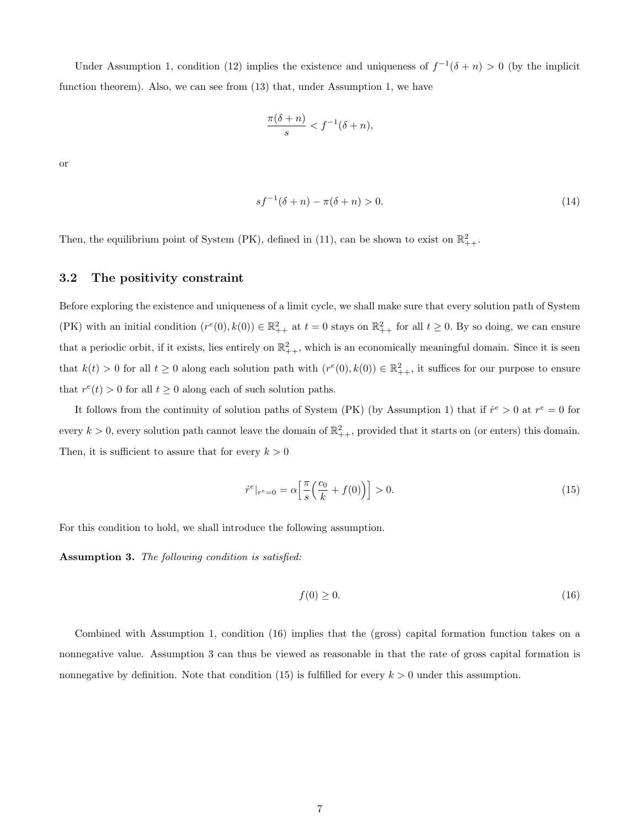Under Assumption 1, condition (12) implies the existence and uniqueness of  $f^{-1}(\delta + n) > 0$  (by the implicit function theorem). Also, we can see from (13) that, under Assumption 1, we have

$$
\frac{\pi(\delta+n)}{s} < f^{-1}(\delta+n),
$$

or

$$
sf^{-1}(\delta + n) - \pi(\delta + n) > 0.
$$
 (14)

Then, the equilibrium point of System (PK), defined in (11), can be shown to exist on  $\mathbb{R}^2_{++}$ .

### 3.2 The positivity constraint

Before exploring the existence and uniqueness of a limit cycle, we shall make sure that every solution path of System (PK) with an initial condition  $(r^e(0), k(0)) \in \mathbb{R}^2_{++}$  at  $t = 0$  stays on  $\mathbb{R}^2_{++}$  for all  $t \geq 0$ . By so doing, we can ensure that a periodic orbit, if it exists, lies entirely on  $\mathbb{R}^2_{++}$ , which is an economically meaningful domain. Since it is seen that  $k(t) > 0$  for all  $t \geq 0$  along each solution path with  $(r^e(0), k(0)) \in \mathbb{R}^2_{++}$ , it suffices for our purpose to ensure that  $r^{e}(t) > 0$  for all  $t \ge 0$  along each of such solution paths.

It follows from the continuity of solution paths of System (PK) (by Assumption 1) that if  $\dot{r}^e > 0$  at  $r^e = 0$  for every  $k > 0$ , every solution path cannot leave the domain of  $\mathbb{R}^2_{++}$ , provided that it starts on (or enters) this domain. Then, it is sufficient to assure that for every  $k>0$ 

$$
\dot{r}^e|_{r^e=0} = \alpha \left[ \frac{\pi}{s} \left( \frac{c_0}{k} + f(0) \right) \right] > 0. \tag{15}
$$

For this condition to hold, we shall introduce the following assumption.

Assumption 3. The following condition is satisfied:

$$
f(0) \ge 0. \tag{16}
$$

Combined with Assumption 1, condition (16) implies that the (gross) capital formation function takes on a nonnegative value. Assumption 3 can thus be viewed as reasonable in that the rate of gross capital formation is nonnegative by definition. Note that condition (15) is fulfilled for every  $k > 0$  under this assumption.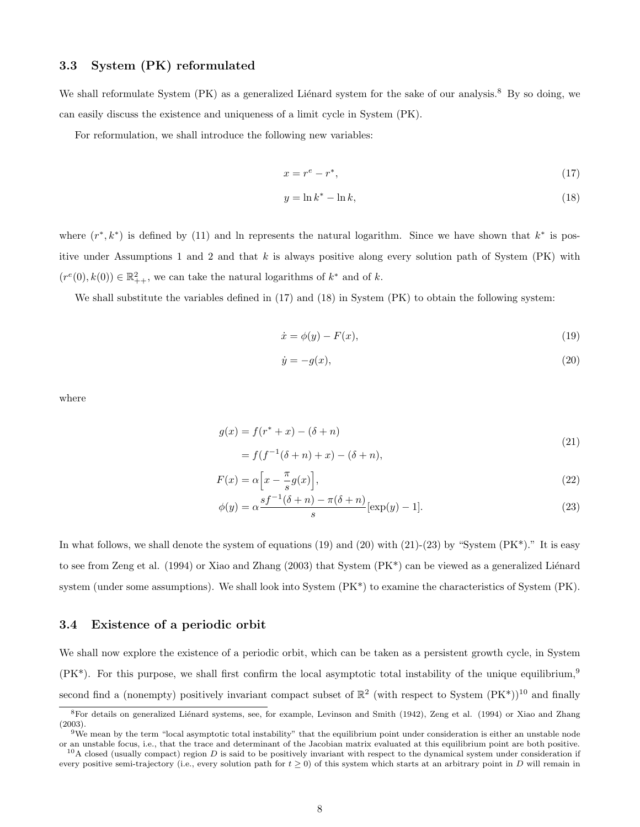### 3.3 System (PK) reformulated

We shall reformulate System (PK) as a generalized Liénard system for the sake of our analysis.<sup>8</sup> By so doing, we can easily discuss the existence and uniqueness of a limit cycle in System (PK).

For reformulation, we shall introduce the following new variables:

$$
x = r^e - r^*,\tag{17}
$$

$$
y = \ln k^* - \ln k,\tag{18}
$$

where  $(r^*, k^*)$  is defined by (11) and ln represents the natural logarithm. Since we have shown that  $k^*$  is positive under Assumptions 1 and 2 and that  $k$  is always positive along every solution path of System (PK) with  $(r^e(0), k(0)) \in \mathbb{R}^2_{++}$ , we can take the natural logarithms of  $k^*$  and of  $k$ .

We shall substitute the variables defined in  $(17)$  and  $(18)$  in System (PK) to obtain the following system:

$$
\dot{x} = \phi(y) - F(x),\tag{19}
$$

$$
\dot{y} = -g(x),\tag{20}
$$

where

$$
g(x) = f(r^* + x) - (\delta + n)
$$
\n(21)

$$
= f(f^{-1}(\delta + n) + x) - (\delta + n),
$$

$$
F(x) = \alpha \left[ x - \frac{\pi}{s} g(x) \right],\tag{22}
$$

$$
\phi(y) = \alpha \frac{sf^{-1}(\delta + n) - \pi(\delta + n)}{s} [\exp(y) - 1].
$$
\n(23)

In what follows, we shall denote the system of equations  $(19)$  and  $(20)$  with  $(21)-(23)$  by "System  $(PK^*)$ ." It is easy to see from Zeng et al. (1994) or Xiao and Zhang (2003) that System  $(\text{PK}^*)$  can be viewed as a generalized Liénard system (under some assumptions). We shall look into System (PK\*) to examine the characteristics of System (PK).

#### 3.4 Existence of a periodic orbit

We shall now explore the existence of a periodic orbit, which can be taken as a persistent growth cycle, in System  $(PK^*)$ . For this purpose, we shall first confirm the local asymptotic total instability of the unique equilibrium,<sup>9</sup> second find a (nonempty) positively invariant compact subset of  $\mathbb{R}^2$  (with respect to System  $(PK^*)$ )<sup>10</sup> and finally

<sup>&</sup>lt;sup>8</sup>For details on generalized Liénard systems, see, for example, Levinson and Smith (1942), Zeng et al. (1994) or Xiao and Zhang (2003).

<sup>&</sup>lt;sup>9</sup>We mean by the term "local asymptotic total instability" that the equilibrium point under consideration is either an unstable node or an unstable focus, i.e., that the trace and determinant of the Jacobian matrix evaluated at this equilibrium point are both positive.

 $10A$  closed (usually compact) region  $D$  is said to be positively invariant with respect to the dynamical system under consideration if every positive semi-trajectory (i.e., every solution path for  $t \ge 0$ ) of this system which starts at an arbitrary point in D will remain in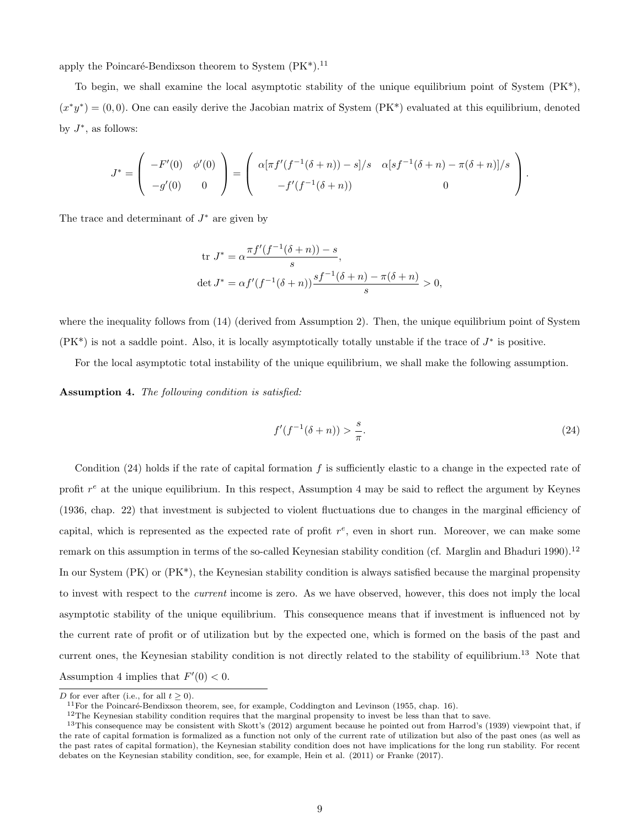apply the Poincaré-Bendixson theorem to System  $(PK^*)$ .<sup>11</sup>

To begin, we shall examine the local asymptotic stability of the unique equilibrium point of System  $(PK^*)$ ,  $(x^*y^*) = (0,0)$ . One can easily derive the Jacobian matrix of System (PK<sup>\*</sup>) evaluated at this equilibrium, denoted by  $J^*$ , as follows:

$$
J^* = \begin{pmatrix} -F'(0) & \phi'(0) \\ -g'(0) & 0 \end{pmatrix} = \begin{pmatrix} \alpha[\pi f'(f^{-1}(\delta+n)) - s]/s & \alpha[sf^{-1}(\delta+n) - \pi(\delta+n)]/s \\ -f'(f^{-1}(\delta+n)) & 0 \end{pmatrix}.
$$

The trace and determinant of  $J^*$  are given by

tr 
$$
J^* = \alpha \frac{\pi f'(f^{-1}(\delta + n)) - s}{s}
$$
,  
det  $J^* = \alpha f'(f^{-1}(\delta + n)) \frac{sf^{-1}(\delta + n) - \pi(\delta + n)}{s} > 0$ ,

where the inequality follows from  $(14)$  (derived from Assumption 2). Then, the unique equilibrium point of System  $(PK^*)$  is not a saddle point. Also, it is locally asymptotically totally unstable if the trace of  $J^*$  is positive.

For the local asymptotic total instability of the unique equilibrium, we shall make the following assumption.

Assumption 4. The following condition is satisfied:

$$
f'(f^{-1}(\delta + n)) > \frac{s}{\pi}.
$$
\n(24)

Condition  $(24)$  holds if the rate of capital formation f is sufficiently elastic to a change in the expected rate of profit  $r^e$  at the unique equilibrium. In this respect, Assumption 4 may be said to reflect the argument by Keynes (1936, chap. 22) that investment is subjected to violent fluctuations due to changes in the marginal efficiency of capital, which is represented as the expected rate of profit  $r^e$ , even in short run. Moreover, we can make some remark on this assumption in terms of the so-called Keynesian stability condition (cf. Marglin and Bhaduri 1990).<sup>12</sup> In our System (PK) or (PK<sup>\*</sup>), the Keynesian stability condition is always satisfied because the marginal propensity to invest with respect to the current income is zero. As we have observed, however, this does not imply the local asymptotic stability of the unique equilibrium. This consequence means that if investment is influenced not by the current rate of profit or of utilization but by the expected one, which is formed on the basis of the past and current ones, the Keynesian stability condition is not directly related to the stability of equilibrium.<sup>13</sup> Note that Assumption 4 implies that  $F'(0) < 0$ .

D for ever after (i.e., for all  $t > 0$ ).

<sup>&</sup>lt;sup>11</sup> For the Poincaré-Bendixson theorem, see, for example, Coddington and Levinson (1955, chap. 16).

<sup>12</sup>The Keynesian stability condition requires that the marginal propensity to invest be less than that to save.

<sup>&</sup>lt;sup>13</sup>This consequence may be consistent with Skott's (2012) argument because he pointed out from Harrod's (1939) viewpoint that, if the rate of capital formation is formalized as a function not only of the current rate of utilization but also of the past ones (as well as the past rates of capital formation), the Keynesian stability condition does not have implications for the long run stability. For recent debates on the Keynesian stability condition, see, for example, Hein et al. (2011) or Franke (2017).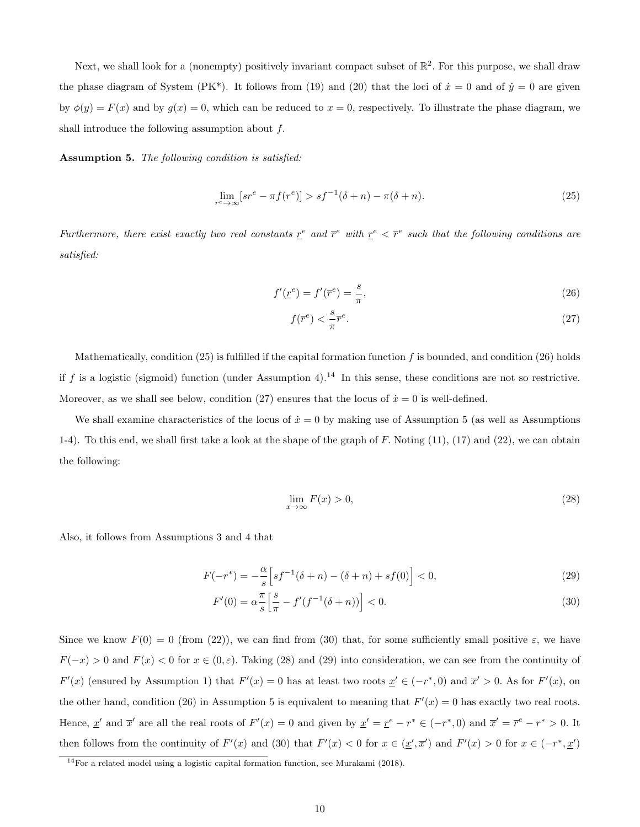Next, we shall look for a (nonempty) positively invariant compact subset of  $\mathbb{R}^2$ . For this purpose, we shall draw the phase diagram of System (PK<sup>\*</sup>). It follows from (19) and (20) that the loci of  $\dot{x} = 0$  and of  $\dot{y} = 0$  are given by  $\phi(y) = F(x)$  and by  $g(x) = 0$ , which can be reduced to  $x = 0$ , respectively. To illustrate the phase diagram, we shall introduce the following assumption about f.

Assumption 5. The following condition is satisfied:

$$
\lim_{r^e \to \infty} [sr^e - \pi f(r^e)] > sf^{-1}(\delta + n) - \pi(\delta + n). \tag{25}
$$

Furthermore, there exist exactly two real constants  $\underline{r}^e$  and  $\overline{r}^e$  with  $\underline{r}^e < \overline{r}^e$  such that the following conditions are satisfied:

$$
f'(\underline{r}^e) = f'(\overline{r}^e) = \frac{s}{\pi},\tag{26}
$$

$$
f(\overline{r}^e) < \frac{s}{\pi} \overline{r}^e. \tag{27}
$$

Mathematically, condition (25) is fulfilled if the capital formation function f is bounded, and condition (26) holds if f is a logistic (sigmoid) function (under Assumption 4).<sup>14</sup> In this sense, these conditions are not so restrictive. Moreover, as we shall see below, condition (27) ensures that the locus of  $\dot{x} = 0$  is well-defined.

We shall examine characteristics of the locus of  $\dot{x} = 0$  by making use of Assumption 5 (as well as Assumptions 1-4). To this end, we shall first take a look at the shape of the graph of  $F$ . Noting  $(11)$ ,  $(17)$  and  $(22)$ , we can obtain the following:

$$
\lim_{x \to \infty} F(x) > 0,\tag{28}
$$

Also, it follows from Assumptions 3 and 4 that

$$
F(-r^*) = -\frac{\alpha}{s} \left[ s f^{-1} (\delta + n) - (\delta + n) + s f(0) \right] < 0,\tag{29}
$$

$$
F'(0) = \alpha \frac{\pi}{s} \left[ \frac{s}{\pi} - f'(f^{-1}(\delta + n)) \right] < 0. \tag{30}
$$

Since we know  $F(0) = 0$  (from (22)), we can find from (30) that, for some sufficiently small positive  $\varepsilon$ , we have  $F(-x) > 0$  and  $F(x) < 0$  for  $x \in (0, \varepsilon)$ . Taking (28) and (29) into consideration, we can see from the continuity of  $F'(x)$  (ensured by Assumption 1) that  $F'(x) = 0$  has at least two roots  $\underline{x}' \in (-r^*, 0)$  and  $\overline{x}' > 0$ . As for  $F'(x)$ , on the other hand, condition (26) in Assumption 5 is equivalent to meaning that  $F'(x) = 0$  has exactly two real roots. Hence,  $\underline{x}'$  and  $\overline{x}'$  are all the real roots of  $F'(x) = 0$  and given by  $\underline{x}' = \underline{r}^e - r^* \in (-r^*, 0)$  and  $\overline{x}' = \overline{r}^e - r^* > 0$ . It then follows from the continuity of  $F'(x)$  and (30) that  $F'(x) < 0$  for  $x \in (\underline{x}', \overline{x}')$  and  $F'(x) > 0$  for  $x \in (-r^*, \underline{x}')$ 

<sup>14</sup>For a related model using a logistic capital formation function, see Murakami (2018).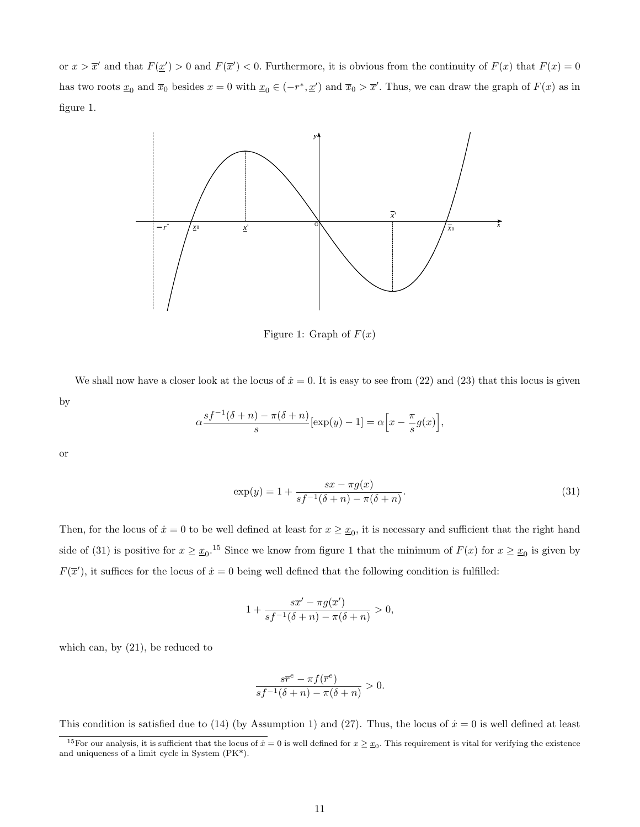or  $x > \overline{x}'$  and that  $F(\underline{x}') > 0$  and  $F(\overline{x}') < 0$ . Furthermore, it is obvious from the continuity of  $F(x)$  that  $F(x) = 0$ has two roots  $\underline{x}_0$  and  $\overline{x}_0$  besides  $x = 0$  with  $\underline{x}_0 \in (-r^*, \underline{x}')$  and  $\overline{x}_0 > \overline{x}'$ . Thus, we can draw the graph of  $F(x)$  as in figure 1.



Figure 1: Graph of  $F(x)$ 

We shall now have a closer look at the locus of  $\dot{x} = 0$ . It is easy to see from (22) and (23) that this locus is given by

$$
\alpha \frac{sf^{-1}(\delta+n) - \pi(\delta+n)}{s} [\exp(y) - 1] = \alpha \Big[ x - \frac{\pi}{s} g(x) \Big],
$$

or

$$
\exp(y) = 1 + \frac{sx - \pi g(x)}{sf^{-1}(\delta + n) - \pi(\delta + n)}.\tag{31}
$$

Then, for the locus of  $\dot{x} = 0$  to be well defined at least for  $x \geq x_0$ , it is necessary and sufficient that the right hand side of (31) is positive for  $x \ge x_0$ .<sup>15</sup> Since we know from figure 1 that the minimum of  $F(x)$  for  $x \ge x_0$  is given by  $F(\overline{x}')$ , it suffices for the locus of  $\dot{x} = 0$  being well defined that the following condition is fulfilled:

$$
1+\frac{s\overline{x}'-\pi g(\overline{x}')}{sf^{-1}(\delta+n)-\pi(\delta+n)}>0,
$$

which can, by (21), be reduced to

$$
\frac{s\overline{r}^e - \pi f(\overline{r}^e)}{s f^{-1}(\delta + n) - \pi(\delta + n)} > 0.
$$

This condition is satisfied due to (14) (by Assumption 1) and (27). Thus, the locus of  $\dot{x} = 0$  is well defined at least

<sup>&</sup>lt;sup>15</sup>For our analysis, it is sufficient that the locus of  $\dot{x} = 0$  is well defined for  $x \geq x_0$ . This requirement is vital for verifying the existence and uniqueness of a limit cycle in System (PK\*).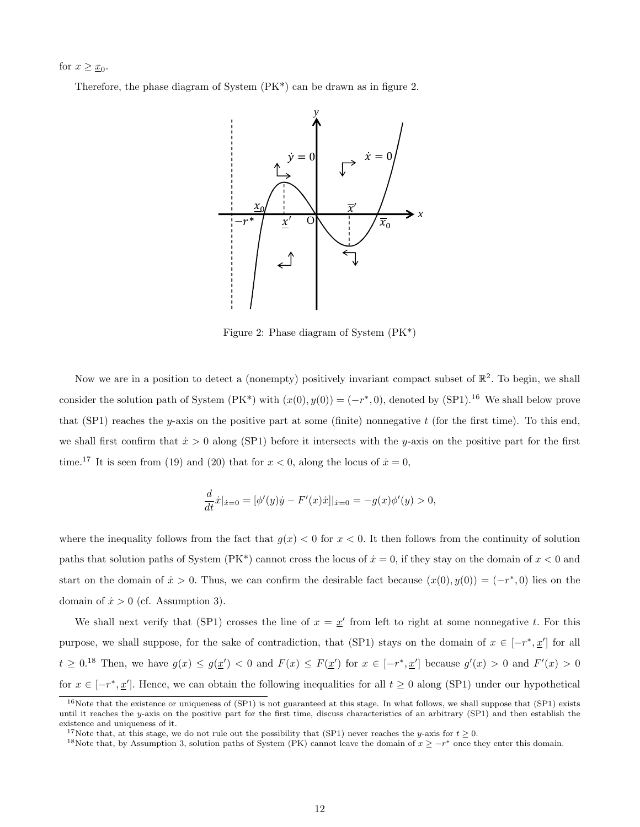for  $x \geq \underline{x}_0$ .

Therefore, the phase diagram of System (PK\*) can be drawn as in figure 2.



Figure 2: Phase diagram of System (PK\*)

Now we are in a position to detect a (nonempty) positively invariant compact subset of  $\mathbb{R}^2$ . To begin, we shall consider the solution path of System  $(PK^*)$  with  $(x(0), y(0)) = (-r^*, 0)$ , denoted by  $(SP1)$ .<sup>16</sup> We shall below prove that (SP1) reaches the y-axis on the positive part at some (finite) nonnegative t (for the first time). To this end, we shall first confirm that  $\dot{x} > 0$  along (SP1) before it intersects with the y-axis on the positive part for the first time.<sup>17</sup> It is seen from (19) and (20) that for  $x < 0$ , along the locus of  $\dot{x} = 0$ ,

$$
\frac{d}{dt}\dot{x}|_{\dot{x}=0} = [\phi'(y)\dot{y} - F'(x)\dot{x}]|_{\dot{x}=0} = -g(x)\phi'(y) > 0,
$$

where the inequality follows from the fact that  $g(x) < 0$  for  $x < 0$ . It then follows from the continuity of solution paths that solution paths of System (PK\*) cannot cross the locus of  $\dot{x} = 0$ , if they stay on the domain of  $x < 0$  and start on the domain of  $\dot{x} > 0$ . Thus, we can confirm the desirable fact because  $(x(0), y(0)) = (-r^*, 0)$  lies on the domain of  $\dot{x} > 0$  (cf. Assumption 3).

We shall next verify that (SP1) crosses the line of  $x = x'$  from left to right at some nonnegative t. For this purpose, we shall suppose, for the sake of contradiction, that (SP1) stays on the domain of  $x \in [-r^*, \underline{x}']$  for all  $t \geq 0.18$  Then, we have  $g(x) \leq g(\underline{x}') < 0$  and  $F(x) \leq F(\underline{x}')$  for  $x \in [-r^*, \underline{x}']$  because  $g'(x) > 0$  and  $F'(x) > 0$ for  $x \in [-r^*, \underline{x}']$ . Hence, we can obtain the following inequalities for all  $t \geq 0$  along (SP1) under our hypothetical

<sup>&</sup>lt;sup>16</sup>Note that the existence or uniqueness of (SP1) is not guaranteed at this stage. In what follows, we shall suppose that (SP1) exists until it reaches the y-axis on the positive part for the first time, discuss characteristics of an arbitrary  $(SPI)$  and then establish the existence and uniqueness of it.

<sup>&</sup>lt;sup>17</sup>Note that, at this stage, we do not rule out the possibility that (SP1) never reaches the y-axis for  $t > 0$ .

<sup>&</sup>lt;sup>18</sup>Note that, by Assumption 3, solution paths of System (PK) cannot leave the domain of  $x \geq -r^*$  once they enter this domain.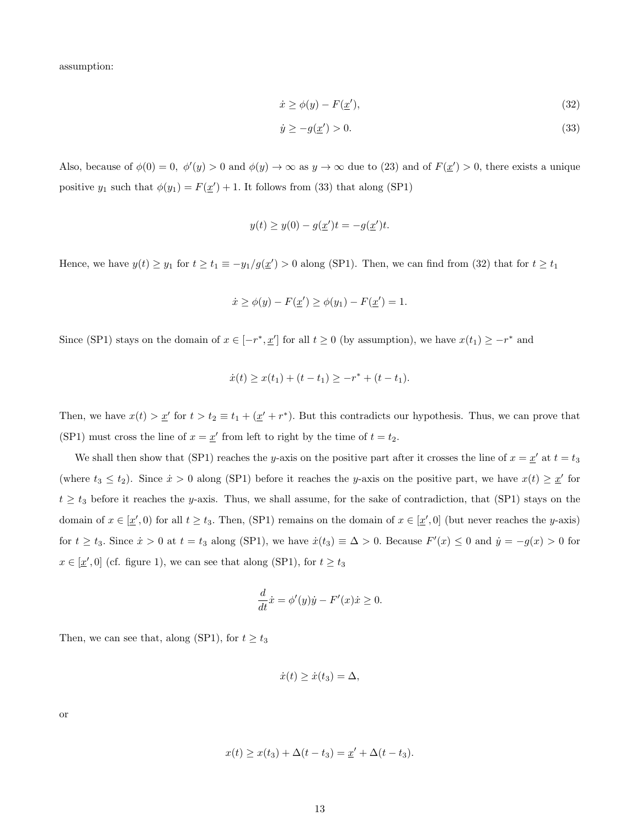assumption:

$$
\dot{x} \ge \phi(y) - F(\underline{x}'),\tag{32}
$$

$$
\dot{y} \ge -g(\underline{x}') > 0. \tag{33}
$$

Also, because of  $\phi(0) = 0$ ,  $\phi'(y) > 0$  and  $\phi(y) \to \infty$  as  $y \to \infty$  due to (23) and of  $F(\underline{x}') > 0$ , there exists a unique positive  $y_1$  such that  $\phi(y_1) = F(\underline{x}') + 1$ . It follows from (33) that along (SP1)

$$
y(t) \ge y(0) - g(\underline{x}')t = -g(\underline{x}')t.
$$

Hence, we have  $y(t) \ge y_1$  for  $t \ge t_1 \equiv -y_1/g(\underline{x}') > 0$  along (SP1). Then, we can find from (32) that for  $t \ge t_1$ 

$$
\dot{x} \ge \phi(y) - F(\underline{x}') \ge \phi(y_1) - F(\underline{x}') = 1.
$$

Since (SP1) stays on the domain of  $x \in [-r^*, \underline{x}']$  for all  $t \ge 0$  (by assumption), we have  $x(t_1) \ge -r^*$  and

$$
\dot{x}(t) \ge x(t_1) + (t - t_1) \ge -r^* + (t - t_1).
$$

Then, we have  $x(t) > \underline{x}'$  for  $t > t_2 \equiv t_1 + (\underline{x}' + r^*)$ . But this contradicts our hypothesis. Thus, we can prove that (SP1) must cross the line of  $x = \underline{x}'$  from left to right by the time of  $t = t_2$ .

We shall then show that (SP1) reaches the y-axis on the positive part after it crosses the line of  $x = \underline{x}'$  at  $t = t_3$ (where  $t_3 \le t_2$ ). Since  $\dot{x} > 0$  along (SP1) before it reaches the y-axis on the positive part, we have  $x(t) \ge \underline{x}'$  for  $t \geq t_3$  before it reaches the y-axis. Thus, we shall assume, for the sake of contradiction, that (SP1) stays on the domain of  $x \in [\underline{x}', 0)$  for all  $t \ge t_3$ . Then, (SP1) remains on the domain of  $x \in [\underline{x}', 0]$  (but never reaches the y-axis) for  $t \ge t_3$ . Since  $\dot{x} > 0$  at  $t = t_3$  along (SP1), we have  $\dot{x}(t_3) \equiv \Delta > 0$ . Because  $F'(x) \le 0$  and  $\dot{y} = -g(x) > 0$  for  $x \in [\underline{x}', 0]$  (cf. figure 1), we can see that along (SP1), for  $t \ge t_3$ 

$$
\frac{d}{dt}\dot{x} = \phi'(y)\dot{y} - F'(x)\dot{x} \ge 0.
$$

Then, we can see that, along (SP1), for  $t \ge t_3$ 

$$
\dot{x}(t) \ge \dot{x}(t_3) = \Delta,
$$

or

$$
x(t) \ge x(t_3) + \Delta(t - t_3) = \underline{x}' + \Delta(t - t_3).
$$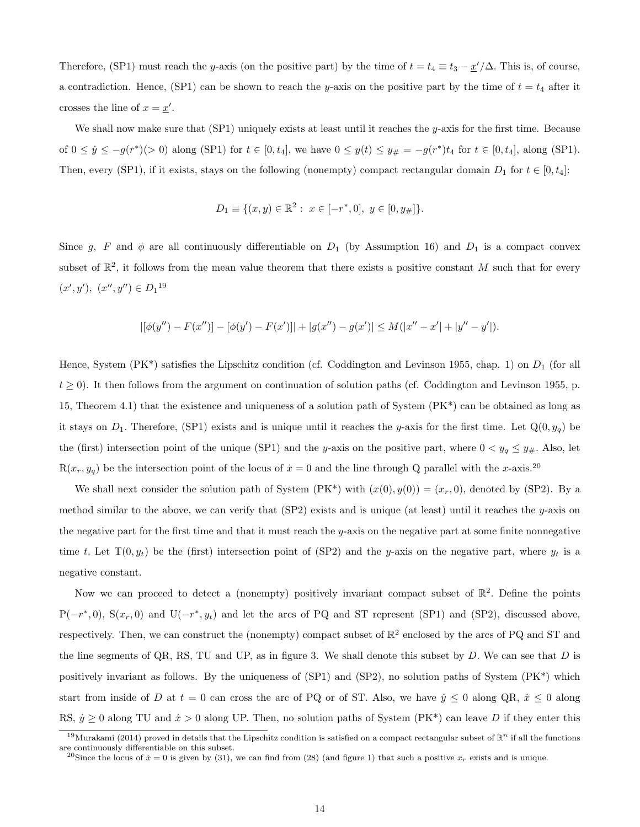Therefore, (SP1) must reach the y-axis (on the positive part) by the time of  $t = t_4 \equiv t_3 - \frac{x'}{\Delta}$ . This is, of course, a contradiction. Hence, (SP1) can be shown to reach the y-axis on the positive part by the time of  $t = t_4$  after it crosses the line of  $x = \underline{x}'$ .

We shall now make sure that  $(SP1)$  uniquely exists at least until it reaches the y-axis for the first time. Because of  $0 \leq \dot{y} \leq -g(r^*)(>0)$  along (SP1) for  $t \in [0, t_4]$ , we have  $0 \leq y(t) \leq y_{\#} = -g(r^*)t_4$  for  $t \in [0, t_4]$ , along (SP1). Then, every (SP1), if it exists, stays on the following (nonempty) compact rectangular domain  $D_1$  for  $t \in [0, t_4]$ :

$$
D_1 \equiv \{(x, y) \in \mathbb{R}^2 : x \in [-r^*, 0], y \in [0, y_{\#}]\}.
$$

Since g, F and  $\phi$  are all continuously differentiable on  $D_1$  (by Assumption 16) and  $D_1$  is a compact convex subset of  $\mathbb{R}^2$ , it follows from the mean value theorem that there exists a positive constant M such that for every  $(x', y'), (x'', y'') \in D_1^{19}$ 

$$
|[\phi(y'') - F(x'')] - [\phi(y') - F(x')]| + |g(x'') - g(x')| \le M(|x'' - x'| + |y'' - y'|).
$$

Hence, System (PK<sup>\*</sup>) satisfies the Lipschitz condition (cf. Coddington and Levinson 1955, chap. 1) on  $D_1$  (for all  $t \ge 0$ ). It then follows from the argument on continuation of solution paths (cf. Coddington and Levinson 1955, p. 15, Theorem 4.1) that the existence and uniqueness of a solution path of System (PK\*) can be obtained as long as it stays on  $D_1$ . Therefore, (SP1) exists and is unique until it reaches the y-axis for the first time. Let  $Q(0, y_q)$  be the (first) intersection point of the unique (SP1) and the y-axis on the positive part, where  $0 < y_q \le y_{\#}$ . Also, let  $R(x_r, y_q)$  be the intersection point of the locus of  $\dot{x} = 0$  and the line through Q parallel with the x-axis.<sup>20</sup>

We shall next consider the solution path of System  $(PK^*)$  with  $(x(0), y(0)) = (x_r, 0)$ , denoted by (SP2). By a method similar to the above, we can verify that  $(SP2)$  exists and is unique (at least) until it reaches the y-axis on the negative part for the first time and that it must reach the y-axis on the negative part at some finite nonnegative time t. Let  $T(0, y_t)$  be the (first) intersection point of (SP2) and the y-axis on the negative part, where  $y_t$  is a negative constant.

Now we can proceed to detect a (nonempty) positively invariant compact subset of  $\mathbb{R}^2$ . Define the points  $P(-r^*,0)$ ,  $S(x_r,0)$  and  $U(-r^*,y_t)$  and let the arcs of PQ and ST represent (SP1) and (SP2), discussed above, respectively. Then, we can construct the (nonempty) compact subset of  $\mathbb{R}^2$  enclosed by the arcs of PQ and ST and the line segments of QR, RS, TU and UP, as in figure 3. We shall denote this subset by  $D$ . We can see that  $D$  is positively invariant as follows. By the uniqueness of (SP1) and (SP2), no solution paths of System (PK\*) which start from inside of D at  $t = 0$  can cross the arc of PQ or of ST. Also, we have  $\dot{y} \le 0$  along QR,  $\dot{x} \le 0$  along RS,  $\dot{y} \ge 0$  along TU and  $\dot{x} > 0$  along UP. Then, no solution paths of System (PK\*) can leave D if they enter this

<sup>&</sup>lt;sup>19</sup>Murakami (2014) proved in details that the Lipschitz condition is satisfied on a compact rectangular subset of  $\mathbb{R}^n$  if all the functions are continuously differentiable on this subset.

<sup>&</sup>lt;sup>20</sup>Since the locus of  $\dot{x} = 0$  is given by (31), we can find from (28) (and figure 1) that such a positive  $x_r$  exists and is unique.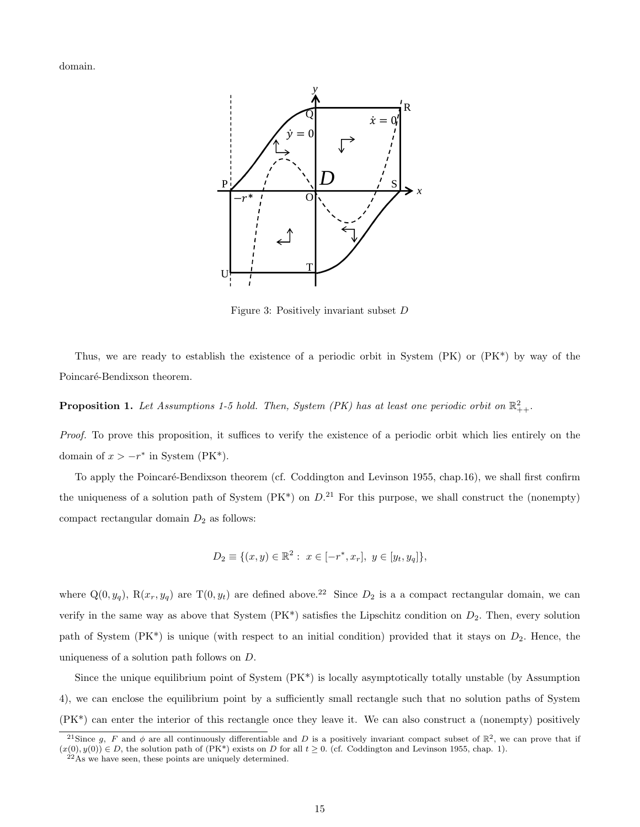domain.



Figure 3: Positively invariant subset D

Thus, we are ready to establish the existence of a periodic orbit in System (PK) or (PK\*) by way of the Poincaré-Bendixson theorem.

**Proposition 1.** Let Assumptions 1-5 hold. Then, System (PK) has at least one periodic orbit on  $\mathbb{R}^2_{++}$ .

Proof. To prove this proposition, it suffices to verify the existence of a periodic orbit which lies entirely on the domain of  $x > -r^*$  in System (PK<sup>\*</sup>).

To apply the Poincaré-Bendixson theorem (cf. Coddington and Levinson 1955, chap.16), we shall first confirm the uniqueness of a solution path of System ( $PK^*$ ) on  $D^{21}$ . For this purpose, we shall construct the (nonempty) compact rectangular domain  $D_2$  as follows:

$$
D_2 \equiv \{(x, y) \in \mathbb{R}^2 : x \in [-r^*, x_r], y \in [y_t, y_q]\},\
$$

where  $Q(0, y_q)$ ,  $R(x_r, y_q)$  are T $(0, y_t)$  are defined above.<sup>22</sup> Since  $D_2$  is a a compact rectangular domain, we can verify in the same way as above that System  $(PK^*)$  satisfies the Lipschitz condition on  $D_2$ . Then, every solution path of System  $(PK^*)$  is unique (with respect to an initial condition) provided that it stays on  $D_2$ . Hence, the uniqueness of a solution path follows on D.

Since the unique equilibrium point of System (PK\*) is locally asymptotically totally unstable (by Assumption 4), we can enclose the equilibrium point by a sufficiently small rectangle such that no solution paths of System (PK\*) can enter the interior of this rectangle once they leave it. We can also construct a (nonempty) positively

<sup>&</sup>lt;sup>21</sup>Since g, F and  $\phi$  are all continuously differentiable and D is a positively invariant compact subset of  $\mathbb{R}^2$ , we can prove that if  $(x(0), y(0)) \in D$ , the solution path of  $(PK^*)$  exists on D for all  $t \geq 0$ . (cf. Coddington and Levinson 1955, chap. 1).

 $^{22}$ As we have seen, these points are uniquely determined.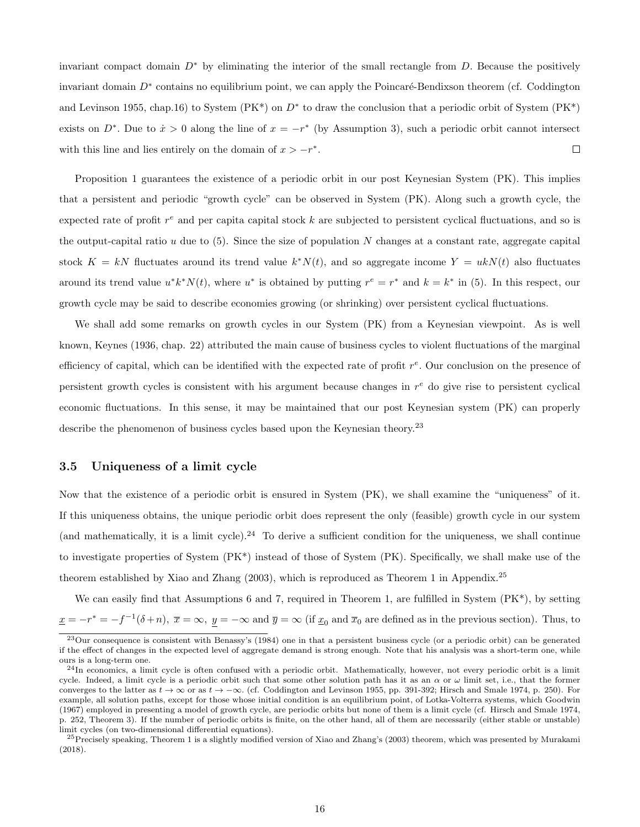invariant compact domain  $D^*$  by eliminating the interior of the small rectangle from D. Because the positively invariant domain  $D^*$  contains no equilibrium point, we can apply the Poincaré-Bendixson theorem (cf. Coddington and Levinson 1955, chap.16) to System ( $PK^*$ ) on  $D^*$  to draw the conclusion that a periodic orbit of System ( $PK^*$ ) exists on  $D^*$ . Due to  $\dot{x} > 0$  along the line of  $x = -r^*$  (by Assumption 3), such a periodic orbit cannot intersect with this line and lies entirely on the domain of  $x > -r^*$ .  $\Box$ 

Proposition 1 guarantees the existence of a periodic orbit in our post Keynesian System (PK). This implies that a persistent and periodic "growth cycle" can be observed in System (PK). Along such a growth cycle, the expected rate of profit  $r^e$  and per capital capital stock k are subjected to persistent cyclical fluctuations, and so is the output-capital ratio  $u$  due to (5). Since the size of population  $N$  changes at a constant rate, aggregate capital stock  $K = kN$  fluctuates around its trend value  $k^*N(t)$ , and so aggregate income  $Y = ukN(t)$  also fluctuates around its trend value  $u^*k^*N(t)$ , where  $u^*$  is obtained by putting  $r^e = r^*$  and  $k = k^*$  in (5). In this respect, our growth cycle may be said to describe economies growing (or shrinking) over persistent cyclical fluctuations.

We shall add some remarks on growth cycles in our System (PK) from a Keynesian viewpoint. As is well known, Keynes (1936, chap. 22) attributed the main cause of business cycles to violent fluctuations of the marginal efficiency of capital, which can be identified with the expected rate of profit  $r^e$ . Our conclusion on the presence of persistent growth cycles is consistent with his argument because changes in  $r^e$  do give rise to persistent cyclical economic fluctuations. In this sense, it may be maintained that our post Keynesian system (PK) can properly describe the phenomenon of business cycles based upon the Keynesian theory.<sup>23</sup>

#### 3.5 Uniqueness of a limit cycle

Now that the existence of a periodic orbit is ensured in System (PK), we shall examine the "uniqueness" of it. If this uniqueness obtains, the unique periodic orbit does represent the only (feasible) growth cycle in our system (and mathematically, it is a limit cycle).<sup>24</sup> To derive a sufficient condition for the uniqueness, we shall continue to investigate properties of System (PK\*) instead of those of System (PK). Specifically, we shall make use of the theorem established by Xiao and Zhang (2003), which is reproduced as Theorem 1 in Appendix.<sup>25</sup>

We can easily find that Assumptions 6 and 7, required in Theorem 1, are fulfilled in System (PK\*), by setting  $\underline{x} = -r^* = -f^{-1}(\delta + n), \ \overline{x} = \infty, \ \underline{y} = -\infty \text{ and } \overline{y} = \infty \text{ (if } \underline{x}_0 \text{ and } \overline{x}_0 \text{ are defined as in the previous section). Thus, to$ 

 $^{23}$ Our consequence is consistent with Benassy's (1984) one in that a persistent business cycle (or a periodic orbit) can be generated if the effect of changes in the expected level of aggregate demand is strong enough. Note that his analysis was a short-term one, while ours is a long-term one.

 $^{24}$ In economics, a limit cycle is often confused with a periodic orbit. Mathematically, however, not every periodic orbit is a limit cycle. Indeed, a limit cycle is a periodic orbit such that some other solution path has it as an  $\alpha$  or  $\omega$  limit set, i.e., that the former converges to the latter as  $t \to \infty$  or as  $t \to -\infty$ . (cf. Coddington and Levinson 1955, pp. 391-392; Hirsch and Smale 1974, p. 250). For example, all solution paths, except for those whose initial condition is an equilibrium point, of Lotka-Volterra systems, which Goodwin (1967) employed in presenting a model of growth cycle, are periodic orbits but none of them is a limit cycle (cf. Hirsch and Smale 1974, p. 252, Theorem 3). If the number of periodic orbits is finite, on the other hand, all of them are necessarily (either stable or unstable) limit cycles (on two-dimensional differential equations).

 $^{25}$ Precisely speaking, Theorem 1 is a slightly modified version of Xiao and Zhang's (2003) theorem, which was presented by Murakami (2018).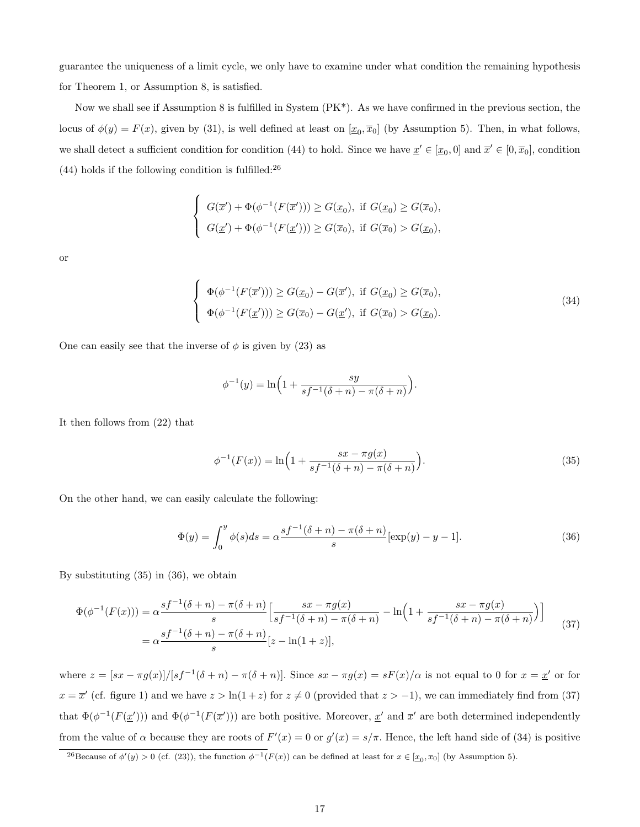guarantee the uniqueness of a limit cycle, we only have to examine under what condition the remaining hypothesis for Theorem 1, or Assumption 8, is satisfied.

Now we shall see if Assumption 8 is fulfilled in System  $(PK^*)$ . As we have confirmed in the previous section, the locus of  $\phi(y) = F(x)$ , given by (31), is well defined at least on  $[\underline{x}_0, \overline{x}_0]$  (by Assumption 5). Then, in what follows, we shall detect a sufficient condition for condition (44) to hold. Since we have  $\underline{x}' \in [\underline{x}_0, 0]$  and  $\overline{x}' \in [0, \overline{x}_0]$ , condition  $(44)$  holds if the following condition is fulfilled:<sup>26</sup>

$$
\begin{cases}\nG(\overline{x}') + \Phi(\phi^{-1}(F(\overline{x}'))) \ge G(\underline{x}_0), \text{ if } G(\underline{x}_0) \ge G(\overline{x}_0), \\
G(\underline{x}') + \Phi(\phi^{-1}(F(\underline{x}'))) \ge G(\overline{x}_0), \text{ if } G(\overline{x}_0) > G(\underline{x}_0),\n\end{cases}
$$

or

$$
\begin{cases}\n\Phi(\phi^{-1}(F(\overline{x}'))) \ge G(\underline{x}_0) - G(\overline{x}'), \text{ if } G(\underline{x}_0) \ge G(\overline{x}_0), \\
\Phi(\phi^{-1}(F(\underline{x}'))) \ge G(\overline{x}_0) - G(\underline{x}'), \text{ if } G(\overline{x}_0) > G(\underline{x}_0).\n\end{cases}
$$
\n(34)

One can easily see that the inverse of  $\phi$  is given by (23) as

∢

$$
\phi^{-1}(y) = \ln\left(1 + \frac{sy}{sf^{-1}(\delta + n) - \pi(\delta + n)}\right)
$$

It then follows from (22) that

$$
\phi^{-1}(F(x)) = \ln\left(1 + \frac{sx - \pi g(x)}{sf^{-1}(\delta + n) - \pi(\delta + n)}\right).
$$
\n(35)

.

On the other hand, we can easily calculate the following:

$$
\Phi(y) = \int_0^y \phi(s)ds = \alpha \frac{sf^{-1}(\delta + n) - \pi(\delta + n)}{s} [\exp(y) - y - 1].
$$
\n(36)

By substituting (35) in (36), we obtain

$$
\Phi(\phi^{-1}(F(x))) = \alpha \frac{sf^{-1}(\delta + n) - \pi(\delta + n)}{s} \Big[ \frac{sx - \pi g(x)}{sf^{-1}(\delta + n) - \pi(\delta + n)} - \ln\Big(1 + \frac{sx - \pi g(x)}{sf^{-1}(\delta + n) - \pi(\delta + n)}\Big) \Big] \n= \alpha \frac{sf^{-1}(\delta + n) - \pi(\delta + n)}{s} [z - \ln(1 + z)],
$$
\n(37)

where  $z = [sx - \pi g(x)]/[sf^{-1}(\delta + n) - \pi(\delta + n)]$ . Since  $sx - \pi g(x) = sF(x)/\alpha$  is not equal to 0 for  $x = x'$  or for  $x = \overline{x}'$  (cf. figure 1) and we have  $z > \ln(1+z)$  for  $z \neq 0$  (provided that  $z > -1$ ), we can immediately find from (37) that  $\Phi(\phi^{-1}(F(\underline{x}')))$  and  $\Phi(\phi^{-1}(F(\overline{x}')))$  are both positive. Moreover,  $\underline{x}'$  and  $\overline{x}'$  are both determined independently from the value of  $\alpha$  because they are roots of  $F'(x) = 0$  or  $g'(x) = s/\pi$ . Hence, the left hand side of (34) is positive

<sup>&</sup>lt;sup>26</sup>Because of  $\phi'(y) > 0$  (cf. (23)), the function  $\phi^{-1}(F(x))$  can be defined at least for  $x \in [\underline{x}_0, \overline{x}_0]$  (by Assumption 5).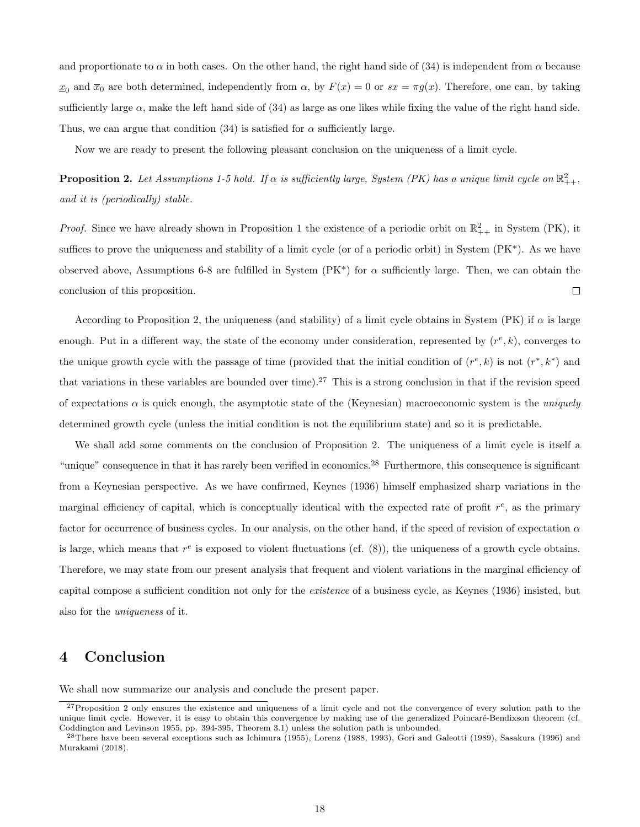and proportionate to  $\alpha$  in both cases. On the other hand, the right hand side of (34) is independent from  $\alpha$  because  $x_0$  and  $\overline{x}_0$  are both determined, independently from  $\alpha$ , by  $F(x) = 0$  or  $sx = \pi g(x)$ . Therefore, one can, by taking sufficiently large  $\alpha$ , make the left hand side of (34) as large as one likes while fixing the value of the right hand side. Thus, we can argue that condition (34) is satisfied for  $\alpha$  sufficiently large.

Now we are ready to present the following pleasant conclusion on the uniqueness of a limit cycle.

**Proposition 2.** Let Assumptions 1-5 hold. If  $\alpha$  is sufficiently large, System (PK) has a unique limit cycle on  $\mathbb{R}^2_{++}$ , and it is (periodically) stable.

*Proof.* Since we have already shown in Proposition 1 the existence of a periodic orbit on  $\mathbb{R}^2_{++}$  in System (PK), it suffices to prove the uniqueness and stability of a limit cycle (or of a periodic orbit) in System  $(PK^*)$ . As we have observed above, Assumptions 6-8 are fulfilled in System  $(PK^*)$  for  $\alpha$  sufficiently large. Then, we can obtain the conclusion of this proposition.  $\Box$ 

According to Proposition 2, the uniqueness (and stability) of a limit cycle obtains in System (PK) if  $\alpha$  is large enough. Put in a different way, the state of the economy under consideration, represented by  $(r^e, k)$ , converges to the unique growth cycle with the passage of time (provided that the initial condition of  $(r^e, k)$  is not  $(r^*, k^*)$  and that variations in these variables are bounded over time).<sup>27</sup> This is a strong conclusion in that if the revision speed of expectations  $\alpha$  is quick enough, the asymptotic state of the (Keynesian) macroeconomic system is the uniquely determined growth cycle (unless the initial condition is not the equilibrium state) and so it is predictable.

We shall add some comments on the conclusion of Proposition 2. The uniqueness of a limit cycle is itself a "unique" consequence in that it has rarely been verified in economics.<sup>28</sup> Furthermore, this consequence is significant from a Keynesian perspective. As we have confirmed, Keynes (1936) himself emphasized sharp variations in the marginal efficiency of capital, which is conceptually identical with the expected rate of profit  $r^e$ , as the primary factor for occurrence of business cycles. In our analysis, on the other hand, if the speed of revision of expectation  $\alpha$ is large, which means that  $r^e$  is exposed to violent fluctuations (cf.  $(8)$ ), the uniqueness of a growth cycle obtains. Therefore, we may state from our present analysis that frequent and violent variations in the marginal efficiency of capital compose a sufficient condition not only for the existence of a business cycle, as Keynes (1936) insisted, but also for the uniqueness of it.

### 4 Conclusion

We shall now summarize our analysis and conclude the present paper.

<sup>&</sup>lt;sup>27</sup>Proposition 2 only ensures the existence and uniqueness of a limit cycle and not the convergence of every solution path to the unique limit cycle. However, it is easy to obtain this convergence by making use of the generalized Poincaré-Bendixson theorem (cf. Coddington and Levinson 1955, pp. 394-395, Theorem 3.1) unless the solution path is unbounded.

<sup>28</sup>There have been several exceptions such as Ichimura (1955), Lorenz (1988, 1993), Gori and Galeotti (1989), Sasakura (1996) and Murakami (2018).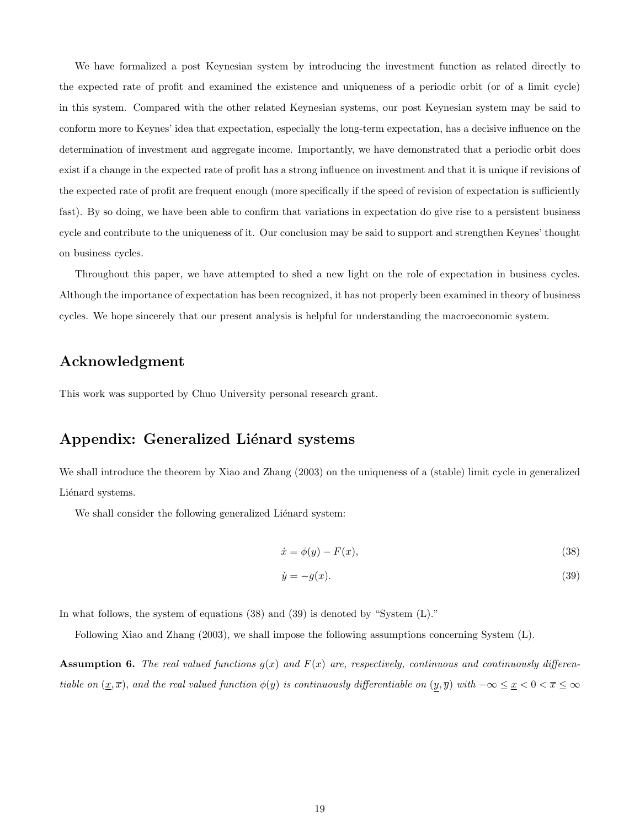We have formalized a post Keynesian system by introducing the investment function as related directly to the expected rate of profit and examined the existence and uniqueness of a periodic orbit (or of a limit cycle) in this system. Compared with the other related Keynesian systems, our post Keynesian system may be said to conform more to Keynes' idea that expectation, especially the long-term expectation, has a decisive influence on the determination of investment and aggregate income. Importantly, we have demonstrated that a periodic orbit does exist if a change in the expected rate of profit has a strong influence on investment and that it is unique if revisions of the expected rate of profit are frequent enough (more specifically if the speed of revision of expectation is sufficiently fast). By so doing, we have been able to confirm that variations in expectation do give rise to a persistent business cycle and contribute to the uniqueness of it. Our conclusion may be said to support and strengthen Keynes' thought on business cycles.

Throughout this paper, we have attempted to shed a new light on the role of expectation in business cycles. Although the importance of expectation has been recognized, it has not properly been examined in theory of business cycles. We hope sincerely that our present analysis is helpful for understanding the macroeconomic system.

### Acknowledgment

This work was supported by Chuo University personal research grant.

### Appendix: Generalized Liénard systems

We shall introduce the theorem by Xiao and Zhang (2003) on the uniqueness of a (stable) limit cycle in generalized Liénard systems.

We shall consider the following generalized Liénard system:

$$
\dot{x} = \phi(y) - F(x),\tag{38}
$$

$$
\dot{y} = -g(x). \tag{39}
$$

In what follows, the system of equations (38) and (39) is denoted by "System (L)."

Following Xiao and Zhang (2003), we shall impose the following assumptions concerning System (L).

**Assumption 6.** The real valued functions  $g(x)$  and  $F(x)$  are, respectively, continuous and continuously differentiable on  $(x, \overline{x})$ , and the real valued function  $\phi(y)$  is continuously differentiable on  $(y, \overline{y})$  with  $-\infty \leq x < 0 < \overline{x} \leq \infty$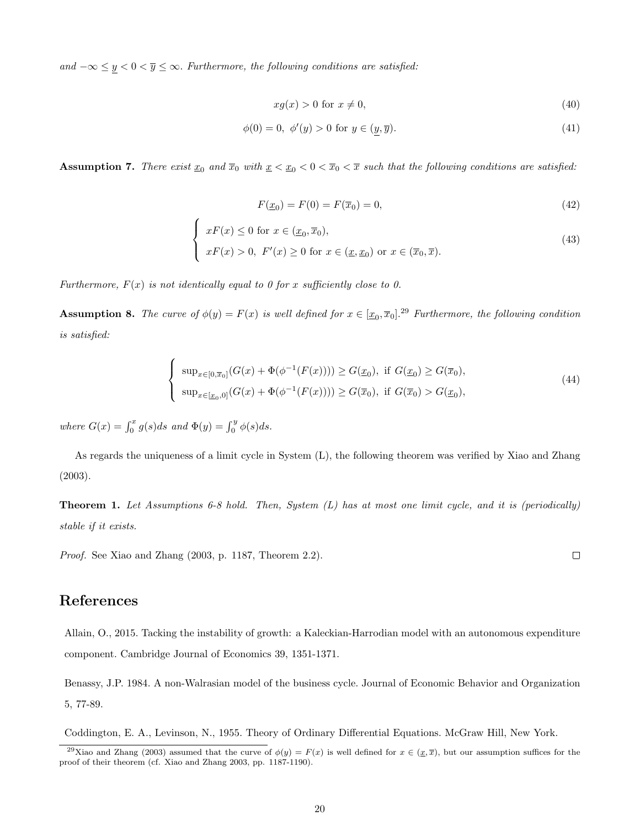and  $-\infty \le y < 0 < \overline{y} \le \infty$ . Furthermore, the following conditions are satisfied:

$$
xg(x) > 0 \text{ for } x \neq 0,
$$
\n<sup>(40)</sup>

$$
\phi(0) = 0, \ \phi'(y) > 0 \text{ for } y \in (y, \overline{y}). \tag{41}
$$

Assumption 7. There exist  $\underline{x}_0$  and  $\overline{x}_0$  with  $\underline{x} < \underline{x}_0 < 0 < \overline{x}_0 < \overline{x}$  such that the following conditions are satisfied:

$$
F(\underline{x}_0) = F(0) = F(\overline{x}_0) = 0,\t\t(42)
$$

$$
\begin{cases}\n xF(x) \le 0 \text{ for } x \in (\underline{x}_0, \overline{x}_0), \\
 xF(x) > 0, \ F'(x) \ge 0 \text{ for } x \in (\underline{x}, \underline{x}_0) \text{ or } x \in (\overline{x}_0, \overline{x}).\n\end{cases}
$$
\n(43)

Furthermore,  $F(x)$  is not identically equal to 0 for x sufficiently close to 0.

**Assumption 8.** The curve of  $\phi(y) = F(x)$  is well defined for  $x \in [\underline{x}_0, \overline{x}_0]$ .<sup>29</sup> Furthermore, the following condition is satisfied:

$$
\begin{cases} \sup_{x \in [0,\overline{x}_0]} (G(x) + \Phi(\phi^{-1}(F(x)))) \ge G(\underline{x}_0), \text{ if } G(\underline{x}_0) \ge G(\overline{x}_0), \\ \sup_{x \in [\underline{x}_0,0]} (G(x) + \Phi(\phi^{-1}(F(x)))) \ge G(\overline{x}_0), \text{ if } G(\overline{x}_0) > G(\underline{x}_0), \end{cases} (44)
$$

where  $G(x) = \int_0^x g(s)ds$  and  $\Phi(y) = \int_0^y \phi(s)ds$ .

 $\lambda$ 

As regards the uniqueness of a limit cycle in System (L), the following theorem was verified by Xiao and Zhang (2003).

**Theorem 1.** Let Assumptions 6-8 hold. Then, System  $(L)$  has at most one limit cycle, and it is (periodically) stable if it exists.

Proof. See Xiao and Zhang (2003, p. 1187, Theorem 2.2).

### References

Allain, O., 2015. Tacking the instability of growth: a Kaleckian-Harrodian model with an autonomous expenditure component. Cambridge Journal of Economics 39, 1351-1371.

Benassy, J.P. 1984. A non-Walrasian model of the business cycle. Journal of Economic Behavior and Organization 5, 77-89.

Coddington, E. A., Levinson, N., 1955. Theory of Ordinary Differential Equations. McGraw Hill, New York.

 $\Box$ 

<sup>&</sup>lt;sup>29</sup>Xiao and Zhang (2003) assumed that the curve of  $\phi(y) = F(x)$  is well defined for  $x \in (\underline{x}, \overline{x})$ , but our assumption suffices for the proof of their theorem (cf. Xiao and Zhang 2003, pp. 1187-1190).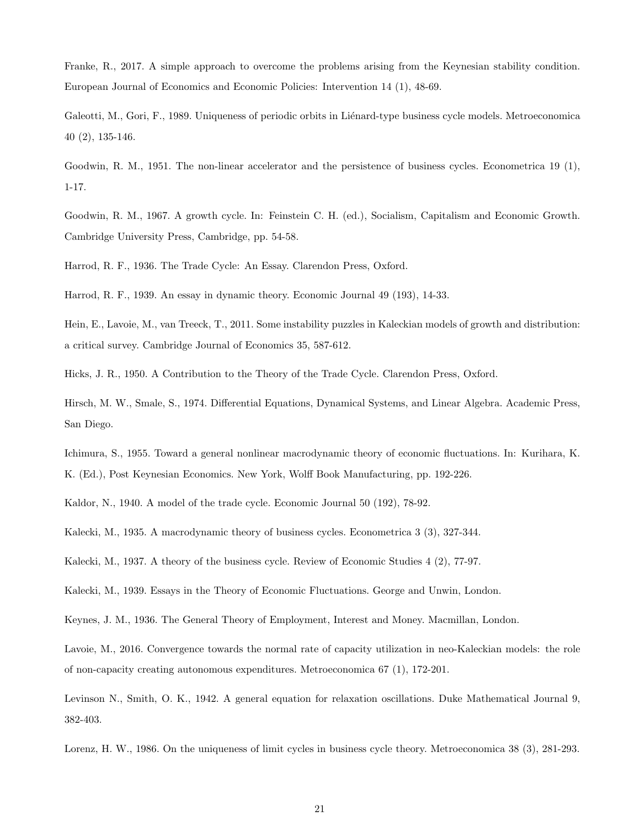Franke, R., 2017. A simple approach to overcome the problems arising from the Keynesian stability condition. European Journal of Economics and Economic Policies: Intervention 14 (1), 48-69.

Galeotti, M., Gori, F., 1989. Uniqueness of periodic orbits in Liénard-type business cycle models. Metroeconomica 40 (2), 135-146.

Goodwin, R. M., 1951. The non-linear accelerator and the persistence of business cycles. Econometrica 19 (1), 1-17.

Goodwin, R. M., 1967. A growth cycle. In: Feinstein C. H. (ed.), Socialism, Capitalism and Economic Growth. Cambridge University Press, Cambridge, pp. 54-58.

Harrod, R. F., 1936. The Trade Cycle: An Essay. Clarendon Press, Oxford.

Harrod, R. F., 1939. An essay in dynamic theory. Economic Journal 49 (193), 14-33.

Hein, E., Lavoie, M., van Treeck, T., 2011. Some instability puzzles in Kaleckian models of growth and distribution: a critical survey. Cambridge Journal of Economics 35, 587-612.

Hicks, J. R., 1950. A Contribution to the Theory of the Trade Cycle. Clarendon Press, Oxford.

Hirsch, M. W., Smale, S., 1974. Differential Equations, Dynamical Systems, and Linear Algebra. Academic Press, San Diego.

Ichimura, S., 1955. Toward a general nonlinear macrodynamic theory of economic fluctuations. In: Kurihara, K. K. (Ed.), Post Keynesian Economics. New York, Wolff Book Manufacturing, pp. 192-226.

Kaldor, N., 1940. A model of the trade cycle. Economic Journal 50 (192), 78-92.

Kalecki, M., 1935. A macrodynamic theory of business cycles. Econometrica 3 (3), 327-344.

Kalecki, M., 1937. A theory of the business cycle. Review of Economic Studies 4 (2), 77-97.

Kalecki, M., 1939. Essays in the Theory of Economic Fluctuations. George and Unwin, London.

Keynes, J. M., 1936. The General Theory of Employment, Interest and Money. Macmillan, London.

Lavoie, M., 2016. Convergence towards the normal rate of capacity utilization in neo-Kaleckian models: the role of non-capacity creating autonomous expenditures. Metroeconomica 67 (1), 172-201.

Levinson N., Smith, O. K., 1942. A general equation for relaxation oscillations. Duke Mathematical Journal 9, 382-403.

Lorenz, H. W., 1986. On the uniqueness of limit cycles in business cycle theory. Metroeconomica 38 (3), 281-293.